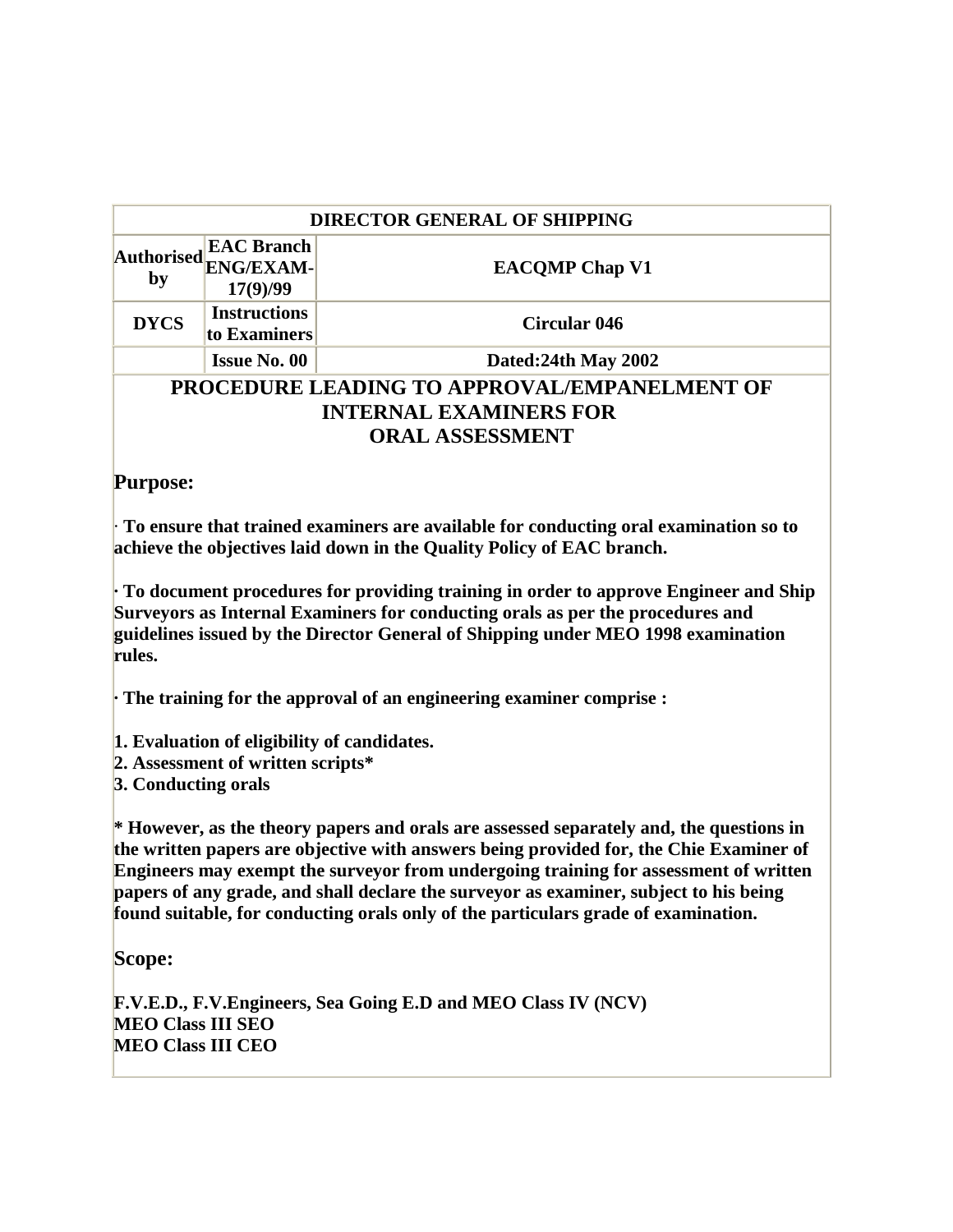| <b>DIRECTOR GENERAL OF SHIPPING</b> |                                                   |                                                     |  |
|-------------------------------------|---------------------------------------------------|-----------------------------------------------------|--|
| <b>Authorised</b><br>by             | <b>EAC Branch</b><br><b>ENG/EXAM-</b><br>17(9)/99 | <b>EACOMP Chap V1</b>                               |  |
| <b>DYCS</b>                         | <b>Instructions</b><br>to Examiners               | Circular 046                                        |  |
|                                     | <b>Issue No. 00</b>                               | Dated: 24th May 2002                                |  |
|                                     |                                                   | <b>PROCEDURE LEADING TO APPROVAL/EMPANELMENT OF</b> |  |
|                                     |                                                   | <b>INTERNAL EXAMINERS FOR</b>                       |  |
|                                     |                                                   | <b>ORAL ASSESSMENT</b>                              |  |
| <b>Purpose:</b>                     |                                                   |                                                     |  |

· **To ensure that trained examiners are available for conducting oral examination so to achieve the objectives laid down in the Quality Policy of EAC branch.**

**· To document procedures for providing training in order to approve Engineer and Ship Surveyors as Internal Examiners for conducting orals as per the procedures and guidelines issued by the Director General of Shipping under MEO 1998 examination rules.**

**· The training for the approval of an engineering examiner comprise :**

- **1. Evaluation of eligibility of candidates.**
- **2. Assessment of written scripts\***
- **3. Conducting orals**

**\* However, as the theory papers and orals are assessed separately and, the questions in the written papers are objective with answers being provided for, the Chie Examiner of Engineers may exempt the surveyor from undergoing training for assessment of written papers of any grade, and shall declare the surveyor as examiner, subject to his being found suitable, for conducting orals only of the particulars grade of examination.**

**Scope:**

**F.V.E.D., F.V.Engineers, Sea Going E.D and MEO Class IV (NCV) MEO Class III SEO MEO Class III CEO**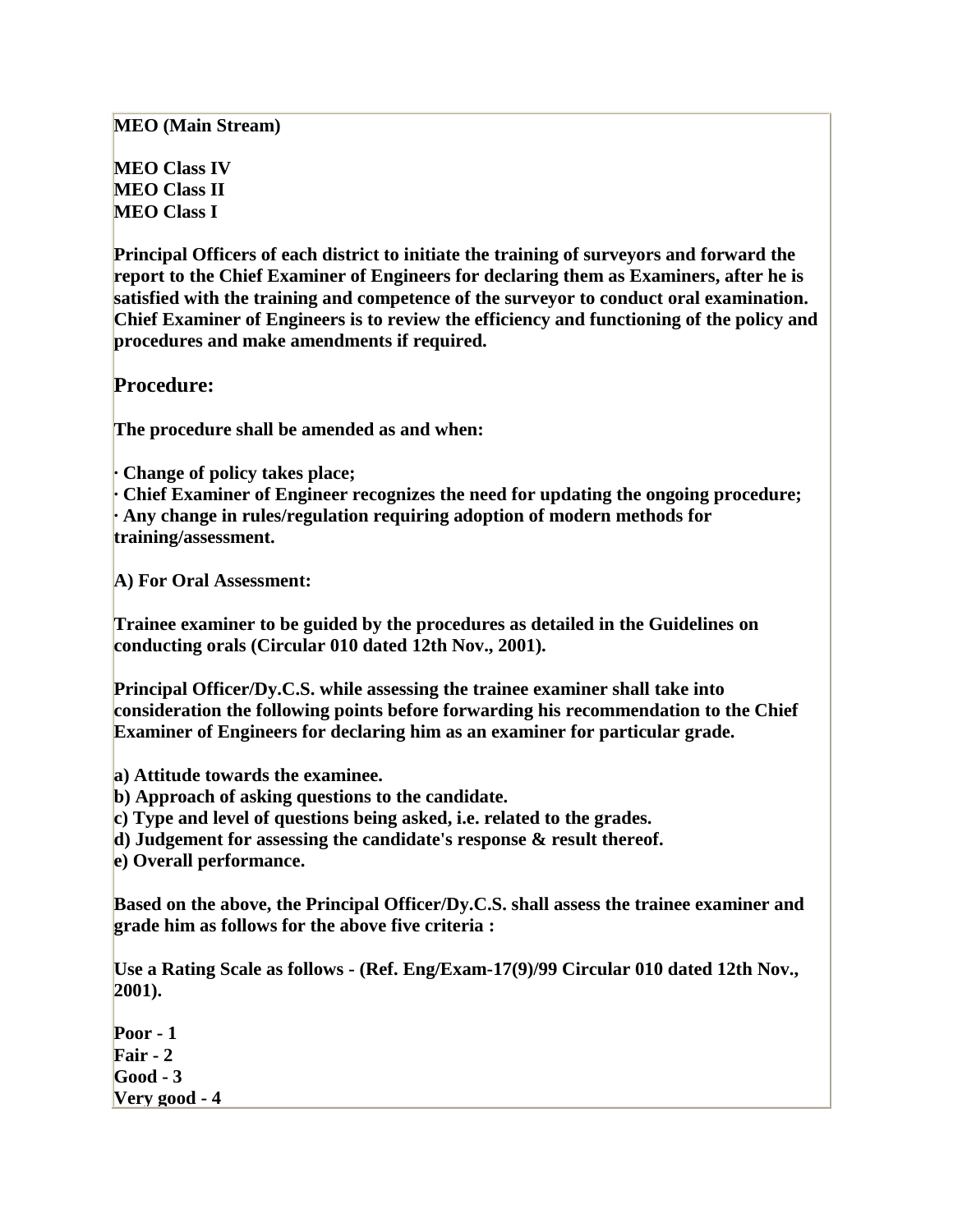**MEO (Main Stream)**

**MEO Class IV MEO Class II MEO Class I**

**Principal Officers of each district to initiate the training of surveyors and forward the report to the Chief Examiner of Engineers for declaring them as Examiners, after he is satisfied with the training and competence of the surveyor to conduct oral examination. Chief Examiner of Engineers is to review the efficiency and functioning of the policy and procedures and make amendments if required.**

**Procedure:**

**The procedure shall be amended as and when:**

**· Change of policy takes place;**

**· Chief Examiner of Engineer recognizes the need for updating the ongoing procedure; · Any change in rules/regulation requiring adoption of modern methods for training/assessment.**

**A) For Oral Assessment:**

**Trainee examiner to be guided by the procedures as detailed in the Guidelines on conducting orals (Circular 010 dated 12th Nov., 2001).**

**Principal Officer/Dy.C.S. while assessing the trainee examiner shall take into consideration the following points before forwarding his recommendation to the Chief Examiner of Engineers for declaring him as an examiner for particular grade.**

**a) Attitude towards the examinee.**

**b) Approach of asking questions to the candidate.**

**c) Type and level of questions being asked, i.e. related to the grades.**

**d) Judgement for assessing the candidate's response & result thereof.**

**e) Overall performance.**

**Based on the above, the Principal Officer/Dy.C.S. shall assess the trainee examiner and grade him as follows for the above five criteria :**

**Use a Rating Scale as follows - (Ref. Eng/Exam-17(9)/99 Circular 010 dated 12th Nov., 2001).**

**Poor - 1 Fair - 2 Good - 3 Very good - 4**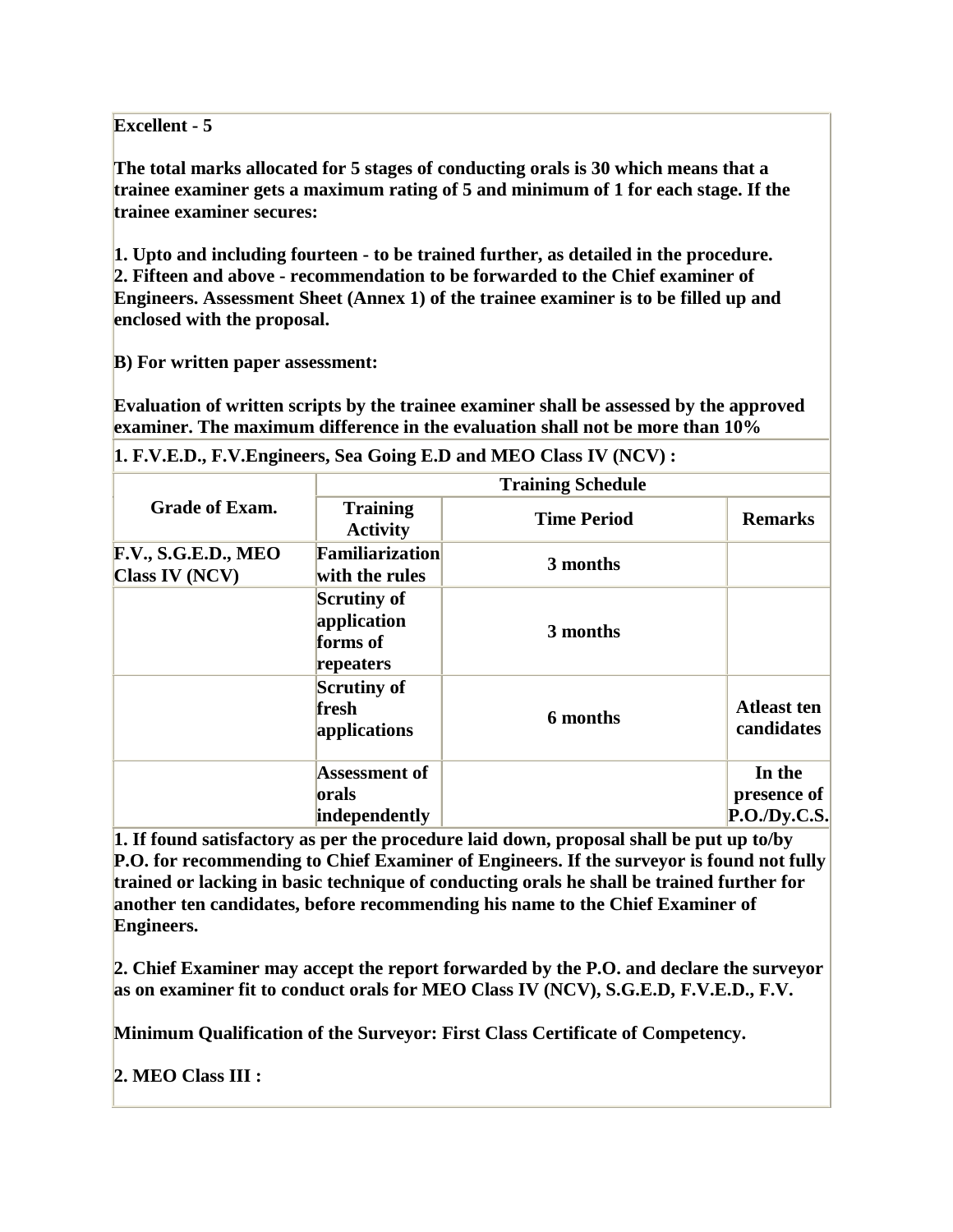### **Excellent - 5**

**The total marks allocated for 5 stages of conducting orals is 30 which means that a trainee examiner gets a maximum rating of 5 and minimum of 1 for each stage. If the trainee examiner secures:**

**1. Upto and including fourteen - to be trained further, as detailed in the procedure. 2. Fifteen and above - recommendation to be forwarded to the Chief examiner of Engineers. Assessment Sheet (Annex 1) of the trainee examiner is to be filled up and enclosed with the proposal.**

**B) For written paper assessment:**

**Evaluation of written scripts by the trainee examiner shall be assessed by the approved examiner. The maximum difference in the evaluation shall not be more than 10%**

|                                       |                                                            | $\mu$ , $\mu$ , $\mu$ , $\mu$ , $\mu$ , $\mu$ , $\mu$ , $\mu$ , $\mu$ , $\mu$ , $\mu$ , $\mu$ , $\mu$ , $\mu$ , $\mu$ , $\mu$ , $\mu$ , $\mu$ , $\mu$ , $\mu$ , $\mu$ , $\mu$ , $\mu$ , $\mu$ , $\mu$ , $\mu$ , $\mu$ , $\mu$ , $\mu$ , $\mu$ , $\mu$ , $\mu$ , $\mu$ , $\mu$ , $\mu$ , $\mu$ , $\mu$ , |                                      |  |
|---------------------------------------|------------------------------------------------------------|---------------------------------------------------------------------------------------------------------------------------------------------------------------------------------------------------------------------------------------------------------------------------------------------------------|--------------------------------------|--|
|                                       |                                                            | <b>Training Schedule</b>                                                                                                                                                                                                                                                                                |                                      |  |
| <b>Grade of Exam.</b>                 | <b>Training</b><br><b>Activity</b>                         | <b>Time Period</b>                                                                                                                                                                                                                                                                                      | <b>Remarks</b>                       |  |
| F.V., S.G.E.D., MEO<br>Class IV (NCV) | Familiarization<br>with the rules                          | 3 months                                                                                                                                                                                                                                                                                                |                                      |  |
|                                       | <b>Scrutiny of</b><br>application<br>forms of<br>repeaters | 3 months                                                                                                                                                                                                                                                                                                |                                      |  |
|                                       | <b>Scrutiny of</b><br>fresh<br>applications                | 6 months                                                                                                                                                                                                                                                                                                | <b>Atleast ten</b><br>candidates     |  |
|                                       | <b>Assessment of</b><br>orals<br>independently             |                                                                                                                                                                                                                                                                                                         | In the<br>presence of<br>P.O.Dv.C.S. |  |

**1. F.V.E.D., F.V.Engineers, Sea Going E.D and MEO Class IV (NCV) :**

**1. If found satisfactory as per the procedure laid down, proposal shall be put up to/by P.O. for recommending to Chief Examiner of Engineers. If the surveyor is found not fully trained or lacking in basic technique of conducting orals he shall be trained further for another ten candidates, before recommending his name to the Chief Examiner of Engineers.**

**2. Chief Examiner may accept the report forwarded by the P.O. and declare the surveyor as on examiner fit to conduct orals for MEO Class IV (NCV), S.G.E.D, F.V.E.D., F.V.**

**Minimum Qualification of the Surveyor: First Class Certificate of Competency.**

**2. MEO Class III :**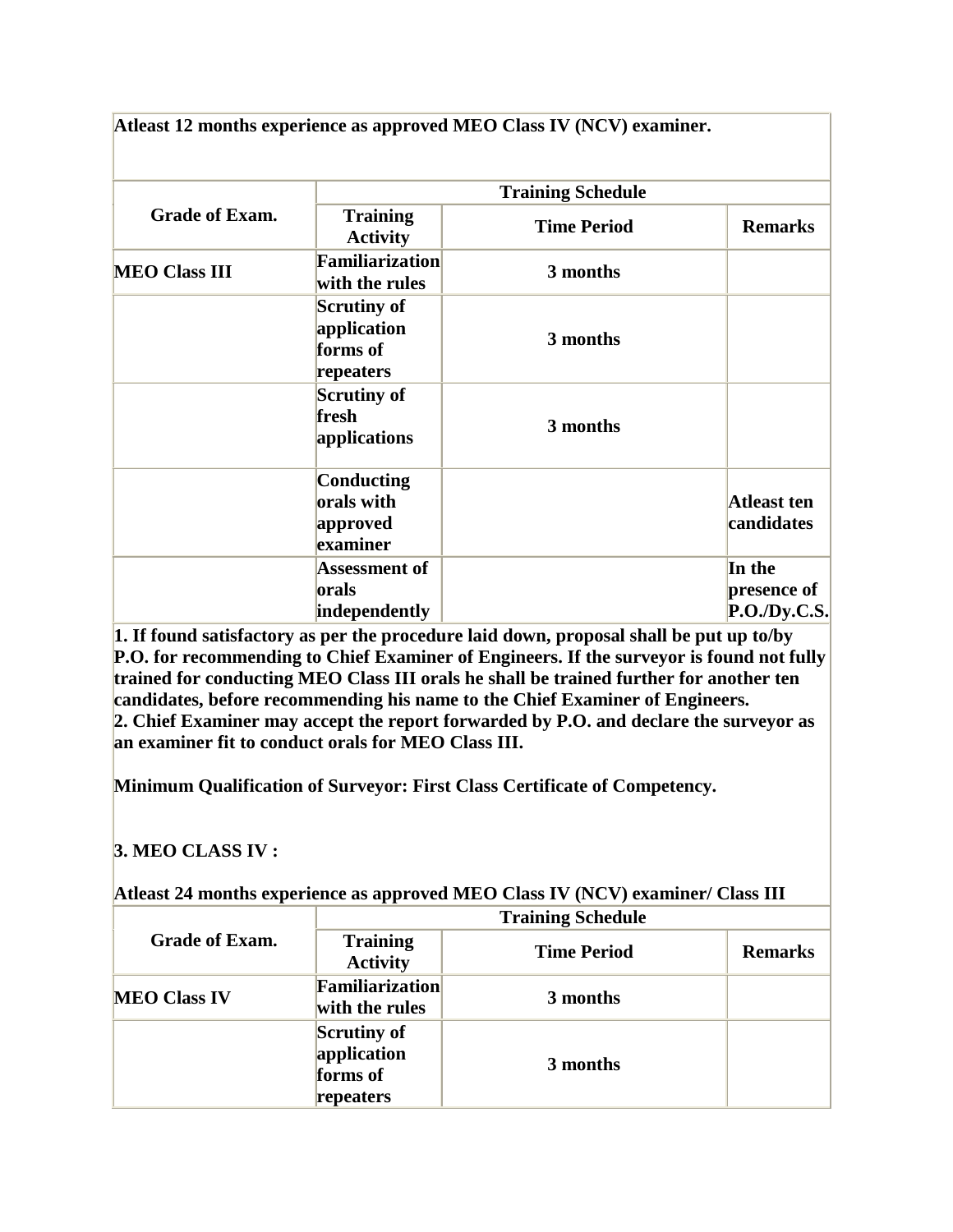**Atleast 12 months experience as approved MEO Class IV (NCV) examiner.**

|                       | <b>Training Schedule</b>                                   |                    |                                      |
|-----------------------|------------------------------------------------------------|--------------------|--------------------------------------|
| <b>Grade of Exam.</b> | <b>Training</b><br><b>Activity</b>                         | <b>Time Period</b> | <b>Remarks</b>                       |
| <b>MEO Class III</b>  | Familiarization<br>with the rules                          | 3 months           |                                      |
|                       | <b>Scrutiny of</b><br>application<br>forms of<br>repeaters | 3 months           |                                      |
|                       | <b>Scrutiny of</b><br>fresh<br>applications                | 3 months           |                                      |
|                       | Conducting<br>orals with<br>approved<br>examiner           |                    | <b>Atleast ten</b><br>candidates     |
|                       | Assessment of<br>orals<br>independently                    |                    | In the<br>presence of<br>P.O.Dy.C.S. |

**1. If found satisfactory as per the procedure laid down, proposal shall be put up to/by P.O. for recommending to Chief Examiner of Engineers. If the surveyor is found not fully trained for conducting MEO Class III orals he shall be trained further for another ten candidates, before recommending his name to the Chief Examiner of Engineers. 2. Chief Examiner may accept the report forwarded by P.O. and declare the surveyor as an examiner fit to conduct orals for MEO Class III.**

**Minimum Qualification of Surveyor: First Class Certificate of Competency.**

## **3. MEO CLASS IV :**

| Atleast 24 months experience as approved MEO Class IV (NCV) examiner/ Class III |  |  |
|---------------------------------------------------------------------------------|--|--|
|                                                                                 |  |  |

|                       | <b>Training Schedule</b>                            |                    |                |
|-----------------------|-----------------------------------------------------|--------------------|----------------|
| <b>Grade of Exam.</b> | <b>Training</b><br><b>Activity</b>                  | <b>Time Period</b> | <b>Remarks</b> |
| <b>MEO Class IV</b>   | Familiarization<br>with the rules                   | 3 months           |                |
|                       | Scrutiny of<br>application<br>forms of<br>repeaters | 3 months           |                |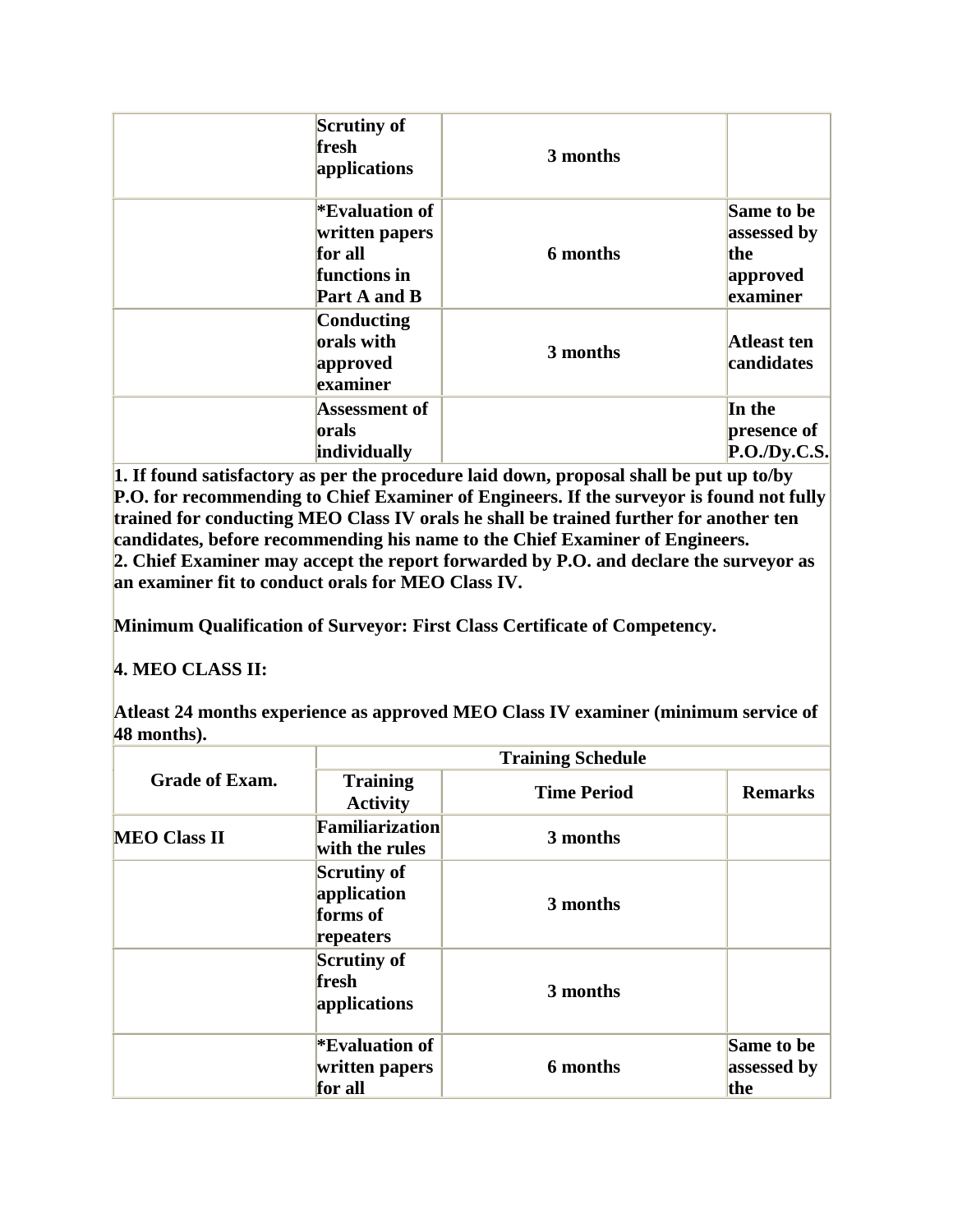| <b>Scrutiny of</b><br>fresh<br>applications                                       | 3 months |                                                          |
|-----------------------------------------------------------------------------------|----------|----------------------------------------------------------|
| <b>Evaluation of</b><br>written papers<br>for all<br>functions in<br>Part A and B | 6 months | Same to be<br>assessed by<br>the<br>approved<br>examiner |
| Conducting<br>orals with<br>approved<br>examiner                                  | 3 months | <b>Atleast ten</b><br>candidates                         |
| <b>Assessment of</b><br>orals<br>individually                                     |          | In the<br>presence of<br>P.O.Dy.C.S.                     |

**1. If found satisfactory as per the procedure laid down, proposal shall be put up to/by P.O. for recommending to Chief Examiner of Engineers. If the surveyor is found not fully trained for conducting MEO Class IV orals he shall be trained further for another ten candidates, before recommending his name to the Chief Examiner of Engineers. 2. Chief Examiner may accept the report forwarded by P.O. and declare the surveyor as an examiner fit to conduct orals for MEO Class IV.**

**Minimum Qualification of Surveyor: First Class Certificate of Competency.**

# **4. MEO CLASS II:**

**Atleast 24 months experience as approved MEO Class IV examiner (minimum service of 48 months).**

|                       | <b>Training Schedule</b>                                   |                    |                                  |
|-----------------------|------------------------------------------------------------|--------------------|----------------------------------|
| <b>Grade of Exam.</b> | <b>Training</b><br><b>Activity</b>                         | <b>Time Period</b> | <b>Remarks</b>                   |
| <b>MEO Class II</b>   | Familiarization<br>with the rules                          | 3 months           |                                  |
|                       | <b>Scrutiny of</b><br>application<br>forms of<br>repeaters | 3 months           |                                  |
|                       | <b>Scrutiny of</b><br>fresh<br>applications                | 3 months           |                                  |
|                       | <b>Evaluation of</b><br>written papers<br>for all          | 6 months           | Same to be<br>assessed by<br>the |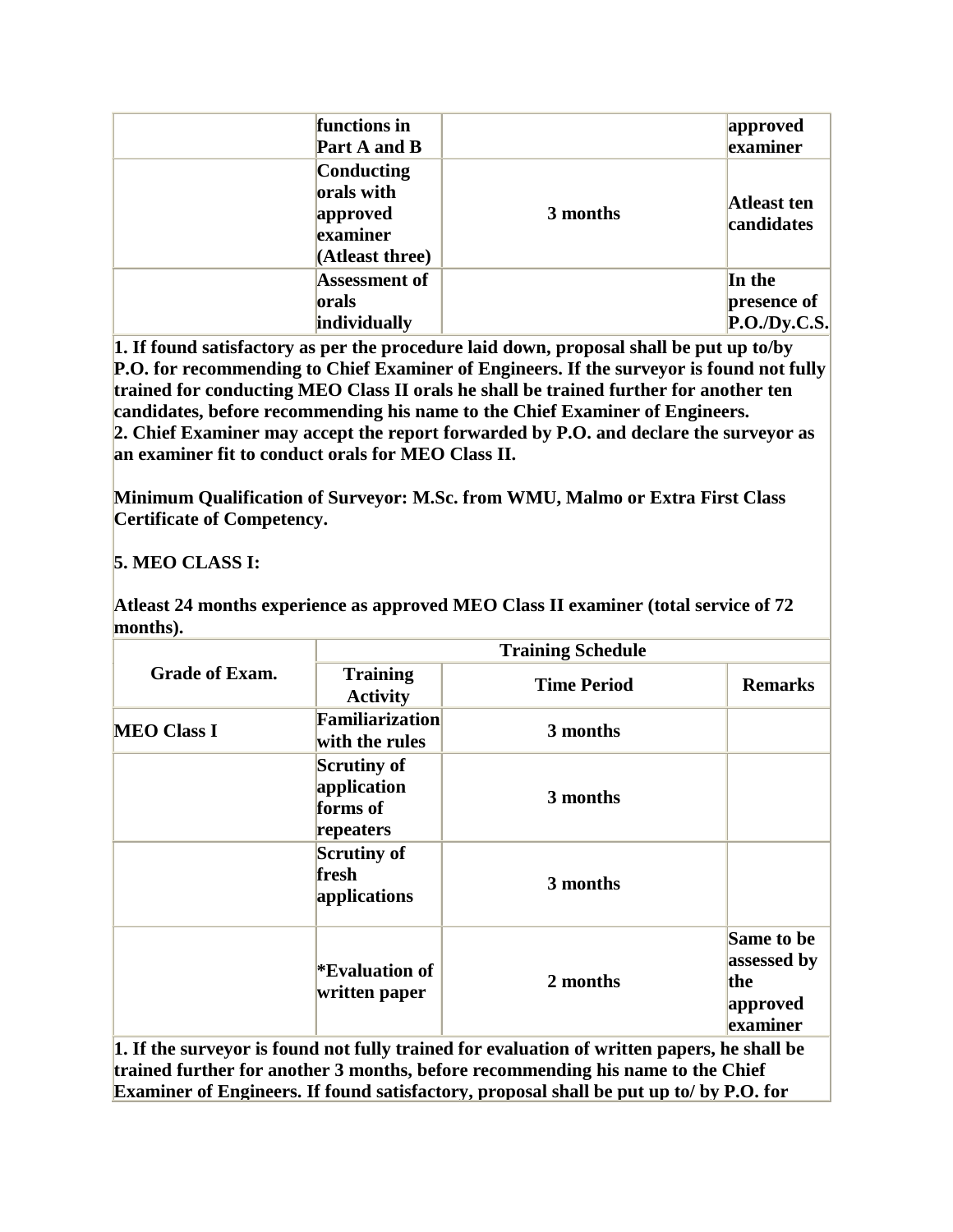| functions in<br>Part A and B                                        |          | approved<br>examiner                 |
|---------------------------------------------------------------------|----------|--------------------------------------|
| Conducting<br>orals with<br>approved<br>examiner<br>(Atleast three) | 3 months | <b>Atleast ten</b><br>candidates     |
| <b>Assessment of</b><br>orals<br>individually                       |          | In the<br>presence of<br>P.O.Dv.C.S. |

**1. If found satisfactory as per the procedure laid down, proposal shall be put up to/by P.O. for recommending to Chief Examiner of Engineers. If the surveyor is found not fully trained for conducting MEO Class II orals he shall be trained further for another ten candidates, before recommending his name to the Chief Examiner of Engineers. 2. Chief Examiner may accept the report forwarded by P.O. and declare the surveyor as an examiner fit to conduct orals for MEO Class II.**

**Minimum Qualification of Surveyor: M.Sc. from WMU, Malmo or Extra First Class Certificate of Competency.**

**5. MEO CLASS I:**

**Atleast 24 months experience as approved MEO Class II examiner (total service of 72 months).**

|                       | <b>Training Schedule</b>                                   |                                                                                                                                                                                |                                                          |
|-----------------------|------------------------------------------------------------|--------------------------------------------------------------------------------------------------------------------------------------------------------------------------------|----------------------------------------------------------|
| <b>Grade of Exam.</b> | <b>Training</b><br><b>Activity</b>                         | <b>Time Period</b>                                                                                                                                                             | <b>Remarks</b>                                           |
| <b>MEO Class I</b>    | <b>Familiarization</b><br>with the rules                   | 3 months                                                                                                                                                                       |                                                          |
|                       | <b>Scrutiny of</b><br>application<br>forms of<br>repeaters | 3 months                                                                                                                                                                       |                                                          |
|                       | <b>Scrutiny of</b><br>fresh<br>applications                | 3 months                                                                                                                                                                       |                                                          |
|                       | <b>Evaluation of</b><br>written paper                      | 2 months                                                                                                                                                                       | Same to be<br>assessed by<br>the<br>approved<br>examiner |
|                       |                                                            | 1. If the surveyor is found not fully trained for evaluation of written papers, he shall be<br>trained further for another 3 months, before recommending his name to the Chief |                                                          |

**Examiner of Engineers. If found satisfactory, proposal shall be put up to/ by P.O. for**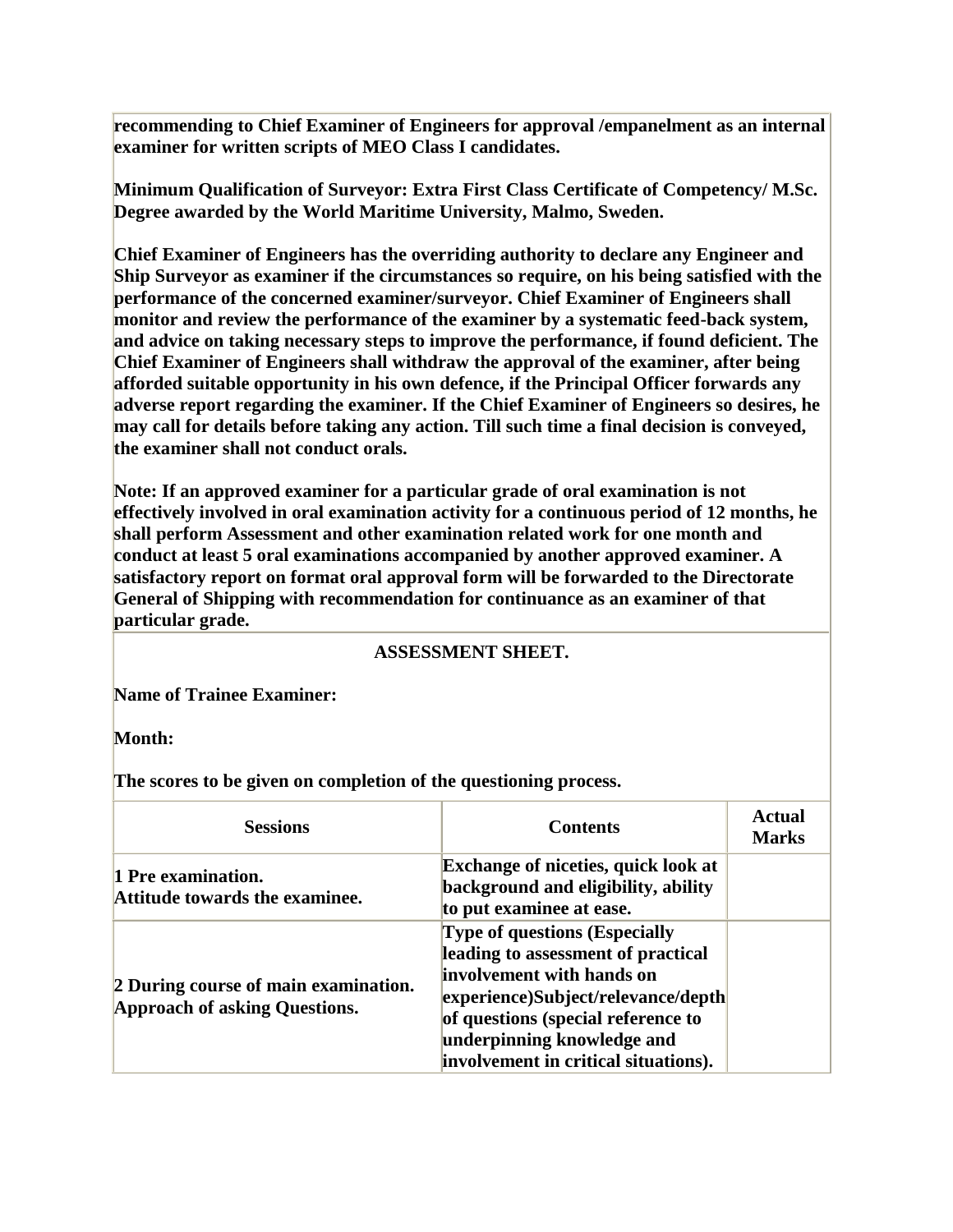**recommending to Chief Examiner of Engineers for approval /empanelment as an internal examiner for written scripts of MEO Class I candidates.**

**Minimum Qualification of Surveyor: Extra First Class Certificate of Competency/ M.Sc. Degree awarded by the World Maritime University, Malmo, Sweden.**

**Chief Examiner of Engineers has the overriding authority to declare any Engineer and Ship Surveyor as examiner if the circumstances so require, on his being satisfied with the performance of the concerned examiner/surveyor. Chief Examiner of Engineers shall monitor and review the performance of the examiner by a systematic feed-back system, and advice on taking necessary steps to improve the performance, if found deficient. The Chief Examiner of Engineers shall withdraw the approval of the examiner, after being afforded suitable opportunity in his own defence, if the Principal Officer forwards any adverse report regarding the examiner. If the Chief Examiner of Engineers so desires, he may call for details before taking any action. Till such time a final decision is conveyed, the examiner shall not conduct orals.**

**Note: If an approved examiner for a particular grade of oral examination is not effectively involved in oral examination activity for a continuous period of 12 months, he shall perform Assessment and other examination related work for one month and conduct at least 5 oral examinations accompanied by another approved examiner. A satisfactory report on format oral approval form will be forwarded to the Directorate General of Shipping with recommendation for continuance as an examiner of that particular grade.**

#### **ASSESSMENT SHEET.**

**Name of Trainee Examiner:**

**Month:**

**The scores to be given on completion of the questioning process.**

| <b>Sessions</b>                                                              | <b>Contents</b>                                                                                                                                                                                                                                           | Actual<br><b>Marks</b> |
|------------------------------------------------------------------------------|-----------------------------------------------------------------------------------------------------------------------------------------------------------------------------------------------------------------------------------------------------------|------------------------|
| 1 Pre examination.<br>Attitude towards the examinee.                         | <b>Exchange of niceties, quick look at</b><br>background and eligibility, ability<br>to put examinee at ease.                                                                                                                                             |                        |
| 2 During course of main examination.<br><b>Approach of asking Questions.</b> | <b>Type of questions (Especially</b><br>leading to assessment of practical<br>involvement with hands on<br>experience)Subject/relevance/depth<br>of questions (special reference to<br>underpinning knowledge and<br>involvement in critical situations). |                        |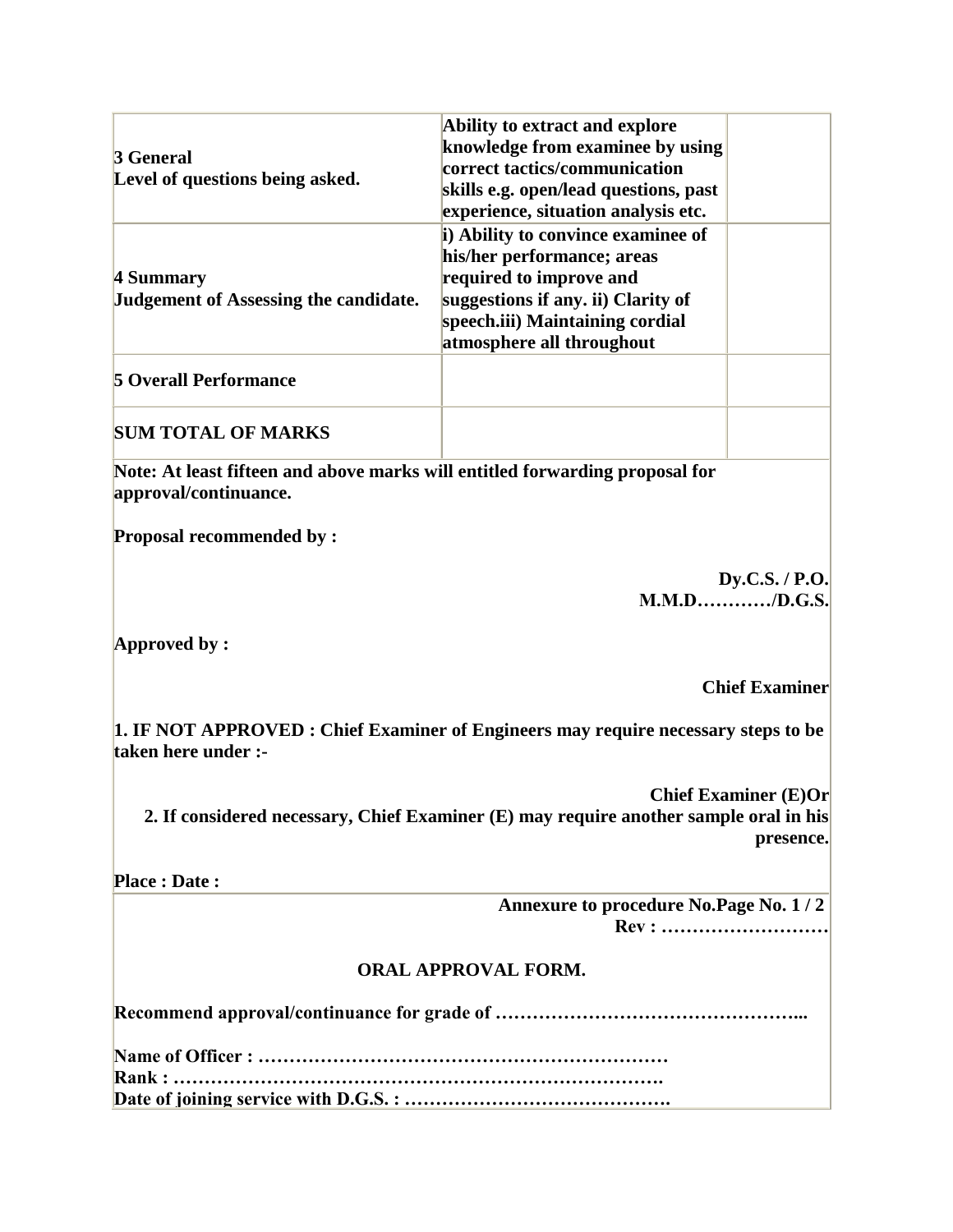| 3 General<br>Level of questions being asked.       | Ability to extract and explore<br>knowledge from examinee by using<br>correct tactics/communication<br>skills e.g. open/lead questions, past<br>experience, situation analysis etc.               |  |
|----------------------------------------------------|---------------------------------------------------------------------------------------------------------------------------------------------------------------------------------------------------|--|
| 4 Summary<br>Judgement of Assessing the candidate. | i) Ability to convince examinee of<br>his/her performance; areas<br>required to improve and<br>suggestions if any. ii) Clarity of<br>speech.iii) Maintaining cordial<br>atmosphere all throughout |  |
| <b>5 Overall Performance</b>                       |                                                                                                                                                                                                   |  |
| <b>SUM TOTAL OF MARKS</b>                          |                                                                                                                                                                                                   |  |

**Note: At least fifteen and above marks will entitled forwarding proposal for approval/continuance.**

**Proposal recommended by :**

**Dy.C.S. / P.O. M.M.D…………/D.G.S.**

**Approved by :**

## **Chief Examiner**

**1. IF NOT APPROVED : Chief Examiner of Engineers may require necessary steps to be taken here under :-**

**Chief Examiner (E)Or 2. If considered necessary, Chief Examiner (E) may require another sample oral in his presence.**

**Place : Date :**

 **Annexure to procedure No.Page No. 1 / 2 Rev : ………………………**

## **ORAL APPROVAL FORM.**

**Recommend approval/continuance for grade of …………………………………………...**

**Name of Officer : ………………………………………………………… Rank : ……………………………………………………………………. Date of joining service with D.G.S. : …………………………………….**